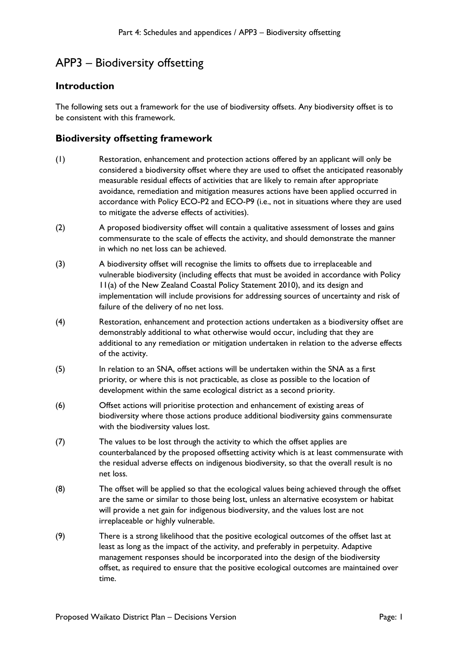## APP3 – Biodiversity offsetting

## **Introduction**

The following sets out a framework for the use of biodiversity offsets. Any biodiversity offset is to be consistent with this framework.

## **Biodiversity offsetting framework**

- (1) Restoration, enhancement and protection actions offered by an applicant will only be considered a biodiversity offset where they are used to offset the anticipated reasonably measurable residual effects of activities that are likely to remain after appropriate avoidance, remediation and mitigation measures actions have been applied occurred in accordance with Policy ECO-P2 and ECO-P9 (i.e., not in situations where they are used to mitigate the adverse effects of activities).
- (2) A proposed biodiversity offset will contain a qualitative assessment of losses and gains commensurate to the scale of effects the activity, and should demonstrate the manner in which no net loss can be achieved.
- (3) A biodiversity offset will recognise the limits to offsets due to irreplaceable and vulnerable biodiversity (including effects that must be avoided in accordance with Policy 11(a) of the New Zealand Coastal Policy Statement 2010), and its design and implementation will include provisions for addressing sources of uncertainty and risk of failure of the delivery of no net loss.
- (4) Restoration, enhancement and protection actions undertaken as a biodiversity offset are demonstrably additional to what otherwise would occur, including that they are additional to any remediation or mitigation undertaken in relation to the adverse effects of the activity.
- (5) In relation to an SNA, offset actions will be undertaken within the SNA as a first priority, or where this is not practicable, as close as possible to the location of development within the same ecological district as a second priority.
- (6) Offset actions will prioritise protection and enhancement of existing areas of biodiversity where those actions produce additional biodiversity gains commensurate with the biodiversity values lost.
- (7) The values to be lost through the activity to which the offset applies are counterbalanced by the proposed offsetting activity which is at least commensurate with the residual adverse effects on indigenous biodiversity, so that the overall result is no net loss.
- (8) The offset will be applied so that the ecological values being achieved through the offset are the same or similar to those being lost, unless an alternative ecosystem or habitat will provide a net gain for indigenous biodiversity, and the values lost are not irreplaceable or highly vulnerable.
- (9) There is a strong likelihood that the positive ecological outcomes of the offset last at least as long as the impact of the activity, and preferably in perpetuity. Adaptive management responses should be incorporated into the design of the biodiversity offset, as required to ensure that the positive ecological outcomes are maintained over time.